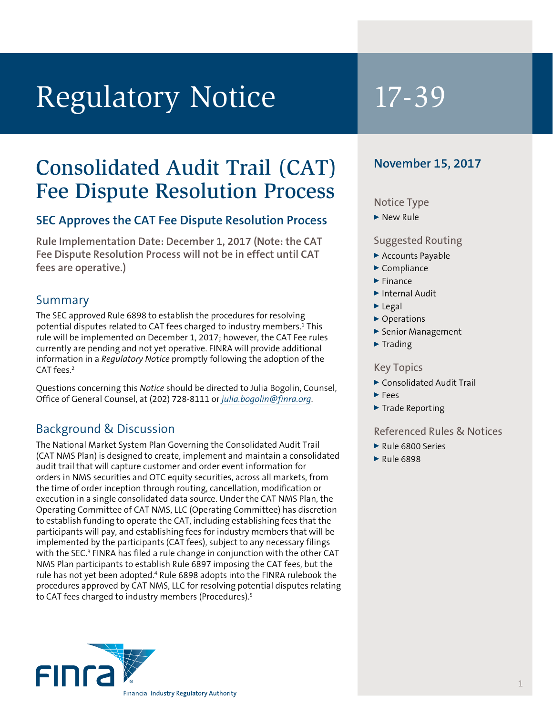# Regulatory Notice 17-39

# Consolidated Audit Trail (CAT) Fee Dispute Resolution Process

# **SEC Approves the CAT Fee Dispute Resolution Process**

**Rule Implementation Date: December 1, 2017 (Note: the CAT Fee Dispute Resolution Process will not be in effect until CAT fees are operative.)**

## Summary

The SEC approved Rule 6898 to establish the procedures for resolving potential disputes related to CAT fees charged to industry members.<sup>1</sup> This rule will be implemented on December 1, 2017; however, the CAT Fee rules currently are pending and not yet operative. FINRA will provide additional information in a *Regulatory Notice* promptly following the adoption of the CAT fees.<sup>2</sup>

Questions concerning this *Notice* should be directed to Julia Bogolin, Counsel, Office of General Counsel, at (202) 728-8111 or *julia.bogolin@finra.org*.

# Background & Discussion

The National Market System Plan Governing the Consolidated Audit Trail (CAT NMS Plan) is designed to create, implement and maintain a consolidated audit trail that will capture customer and order event information for orders in NMS securities and OTC equity securities, across all markets, from the time of order inception through routing, cancellation, modification or execution in a single consolidated data source. Under the CAT NMS Plan, the Operating Committee of CAT NMS, LLC (Operating Committee) has discretion to establish funding to operate the CAT, including establishing fees that the participants will pay, and establishing fees for industry members that will be implemented by the participants (CAT fees), subject to any necessary filings with the SEC.<sup>3</sup> FINRA has filed a rule change in conjunction with the other CAT NMS Plan participants to establish Rule 6897 imposing the CAT fees, but the rule has not yet been adopted.<sup>4</sup> Rule 6898 adopts into the FINRA rulebook the procedures approved by CAT NMS, LLC for resolving potential disputes relating to CAT fees charged to industry members (Procedures).<sup>5</sup>



# **November 15, 2017**

#### Notice Type

▶ New Rule

#### Suggested Routing

- ▶ Accounts Payable
- $\blacktriangleright$  Compliance
- $\blacktriangleright$  Finance
- Internal Audit
- $\blacktriangleright$  Legal
- ▶ Operations
- ▶ Senior Management
- $\blacktriangleright$  Trading

#### Key Topics

- ▶ Consolidated Audit Trail
- $\blacktriangleright$  Fees
- $\blacktriangleright$  Trade Reporting

#### Referenced Rules & Notices

- Rule 6800 Series
- $\blacktriangleright$  Rule 6898

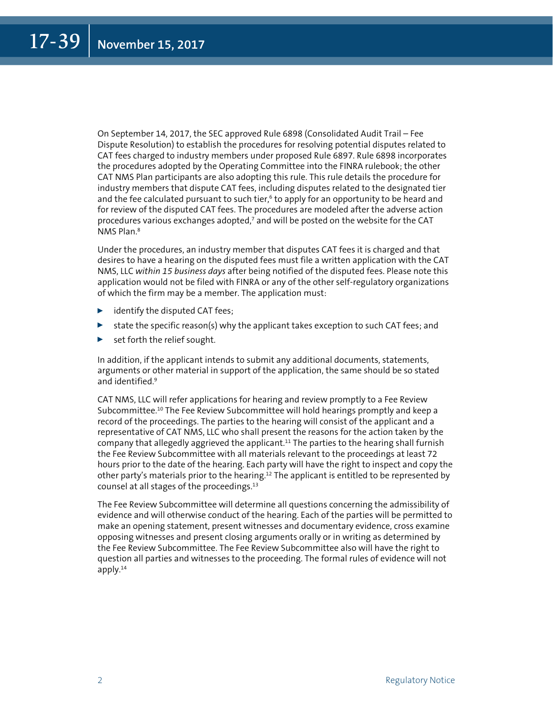On September 14, 2017, the SEC approved Rule 6898 (Consolidated Audit Trail – Fee Dispute Resolution) to establish the procedures for resolving potential disputes related to CAT fees charged to industry members under proposed Rule 6897. Rule 6898 incorporates the procedures adopted by the Operating Committee into the FINRA rulebook; the other CAT NMS Plan participants are also adopting this rule. This rule details the procedure for industry members that dispute CAT fees, including disputes related to the designated tier and the fee calculated pursuant to such tier,<sup>6</sup> to apply for an opportunity to be heard and for review of the disputed CAT fees. The procedures are modeled after the adverse action procedures various exchanges adopted,<sup>7</sup> and will be posted on the website for the CAT NMS Plan.<sup>8</sup>

Under the procedures, an industry member that disputes CAT fees it is charged and that desires to have a hearing on the disputed fees must file a written application with the CAT NMS, LLC *within 15 business days* after being notified of the disputed fees. Please note this application would not be filed with FINRA or any of the other self-regulatory organizations of which the firm may be a member. The application must:

- $\blacktriangleright$  identify the disputed CAT fees;
- state the specific reason(s) why the applicant takes exception to such CAT fees; and
- $\triangleright$  set forth the relief sought.

In addition, if the applicant intends to submit any additional documents, statements, arguments or other material in support of the application, the same should be so stated and identified.9

CAT NMS, LLC will refer applications for hearing and review promptly to a Fee Review Subcommittee.10 The Fee Review Subcommittee will hold hearings promptly and keep a record of the proceedings. The parties to the hearing will consist of the applicant and a representative of CAT NMS, LLC who shall present the reasons for the action taken by the company that allegedly aggrieved the applicant.<sup>11</sup> The parties to the hearing shall furnish the Fee Review Subcommittee with all materials relevant to the proceedings at least 72 hours prior to the date of the hearing. Each party will have the right to inspect and copy the other party's materials prior to the hearing.12 The applicant is entitled to be represented by counsel at all stages of the proceedings.13

The Fee Review Subcommittee will determine all questions concerning the admissibility of evidence and will otherwise conduct of the hearing. Each of the parties will be permitted to make an opening statement, present witnesses and documentary evidence, cross examine opposing witnesses and present closing arguments orally or in writing as determined by the Fee Review Subcommittee. The Fee Review Subcommittee also will have the right to question all parties and witnesses to the proceeding. The formal rules of evidence will not apply. $14$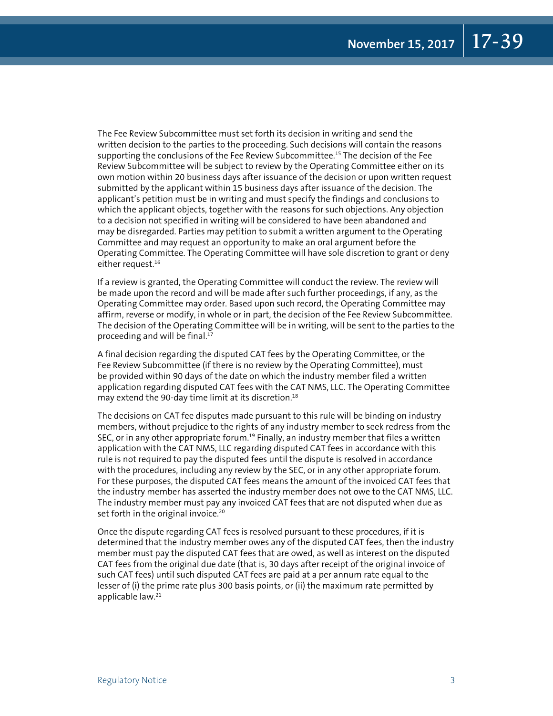The Fee Review Subcommittee must set forth its decision in writing and send the written decision to the parties to the proceeding. Such decisions will contain the reasons supporting the conclusions of the Fee Review Subcommittee.<sup>15</sup> The decision of the Fee Review Subcommittee will be subject to review by the Operating Committee either on its own motion within 20 business days after issuance of the decision or upon written request submitted by the applicant within 15 business days after issuance of the decision. The applicant's petition must be in writing and must specify the findings and conclusions to which the applicant objects, together with the reasons for such objections. Any objection to a decision not specified in writing will be considered to have been abandoned and may be disregarded. Parties may petition to submit a written argument to the Operating Committee and may request an opportunity to make an oral argument before the Operating Committee. The Operating Committee will have sole discretion to grant or deny either request.<sup>16</sup>

If a review is granted, the Operating Committee will conduct the review. The review will be made upon the record and will be made after such further proceedings, if any, as the Operating Committee may order. Based upon such record, the Operating Committee may affirm, reverse or modify, in whole or in part, the decision of the Fee Review Subcommittee. The decision of the Operating Committee will be in writing, will be sent to the parties to the proceeding and will be final.<sup>17</sup>

A final decision regarding the disputed CAT fees by the Operating Committee, or the Fee Review Subcommittee (if there is no review by the Operating Committee), must be provided within 90 days of the date on which the industry member filed a written application regarding disputed CAT fees with the CAT NMS, LLC. The Operating Committee may extend the 90-day time limit at its discretion.<sup>18</sup>

The decisions on CAT fee disputes made pursuant to this rule will be binding on industry members, without prejudice to the rights of any industry member to seek redress from the SEC, or in any other appropriate forum.<sup>19</sup> Finally, an industry member that files a written application with the CAT NMS, LLC regarding disputed CAT fees in accordance with this rule is not required to pay the disputed fees until the dispute is resolved in accordance with the procedures, including any review by the SEC, or in any other appropriate forum. For these purposes, the disputed CAT fees means the amount of the invoiced CAT fees that the industry member has asserted the industry member does not owe to the CAT NMS, LLC. The industry member must pay any invoiced CAT fees that are not disputed when due as set forth in the original invoice.<sup>20</sup>

Once the dispute regarding CAT fees is resolved pursuant to these procedures, if it is determined that the industry member owes any of the disputed CAT fees, then the industry member must pay the disputed CAT fees that are owed, as well as interest on the disputed CAT fees from the original due date (that is, 30 days after receipt of the original invoice of such CAT fees) until such disputed CAT fees are paid at a per annum rate equal to the lesser of (i) the prime rate plus 300 basis points, or (ii) the maximum rate permitted by applicable law.21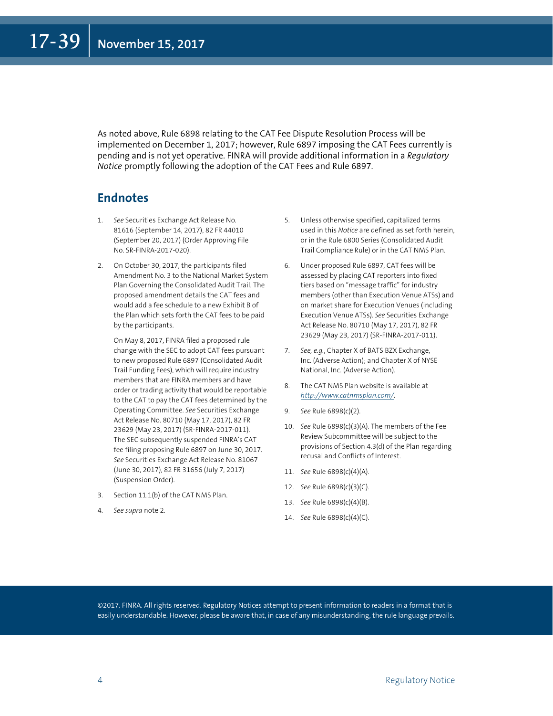As noted above, Rule 6898 relating to the CAT Fee Dispute Resolution Process will be implemented on December 1, 2017; however, Rule 6897 imposing the CAT Fees currently is pending and is not yet operative. FINRA will provide additional information in a *Regulatory Notice* promptly following the adoption of the CAT Fees and Rule 6897.

### **Endnotes**

- 1. *See* Securities Exchange Act Release No. 81616 (September 14, 2017), 82 FR 44010 (September 20, 2017) (Order Approving File No. SR-FINRA-2017-020).
- 2. On October 30, 2017, the participants filed Amendment No. 3 to the National Market System Plan Governing the Consolidated Audit Trail. The proposed amendment details the CAT fees and would add a fee schedule to a new Exhibit B of the Plan which sets forth the CAT fees to be paid by the participants.

 On May 8, 2017, FINRA filed a proposed rule change with the SEC to adopt CAT fees pursuant to new proposed Rule 6897 (Consolidated Audit Trail Funding Fees), which will require industry members that are FINRA members and have order or trading activity that would be reportable to the CAT to pay the CAT fees determined by the Operating Committee. *See* Securities Exchange Act Release No. 80710 (May 17, 2017), 82 FR 23629 (May 23, 2017) (SR-FINRA-2017-011). The SEC subsequently suspended FINRA's CAT fee filing proposing Rule 6897 on June 30, 2017. *See* Securities Exchange Act Release No. 81067 (June 30, 2017), 82 FR 31656 (July 7, 2017) (Suspension Order).

- 3. Section 11.1(b) of the CAT NMS Plan.
- 4. *See supra* note 2.
- 5. Unless otherwise specified, capitalized terms used in this *Notice* are defined as set forth herein, or in the Rule 6800 Series (Consolidated Audit Trail Compliance Rule) or in the CAT NMS Plan.
- 6. Under proposed Rule 6897, CAT fees will be assessed by placing CAT reporters into fixed tiers based on "message traffic" for industry members (other than Execution Venue ATSs) and on market share for Execution Venues (including Execution Venue ATSs). *See* Securities Exchange Act Release No. 80710 (May 17, 2017), 82 FR 23629 (May 23, 2017) (SR-FINRA-2017-011).
- 7. *See, e.g.*, Chapter X of BATS BZX Exchange, Inc. (Adverse Action); and Chapter X of NYSE National, Inc. (Adverse Action).
- 8. The CAT NMS Plan website is available at *<http://www.catnmsplan.com/>*.
- 9. *See* Rule 6898(c)(2).
- 10. *See* Rule 6898(c)(3)(A). The members of the Fee Review Subcommittee will be subject to the provisions of Section 4.3(d) of the Plan regarding recusal and Conflicts of Interest.
- 11. *See* Rule 6898(c)(4)(A).
- 12. *See* Rule 6898(c)(3)(C).
- 13. *See* Rule 6898(c)(4)(B).
- 14. *See* Rule 6898(c)(4)(C).

©2017. FINRA. All rights reserved. Regulatory Notices attempt to present information to readers in a format that is easily understandable. However, please be aware that, in case of any misunderstanding, the rule language prevails.